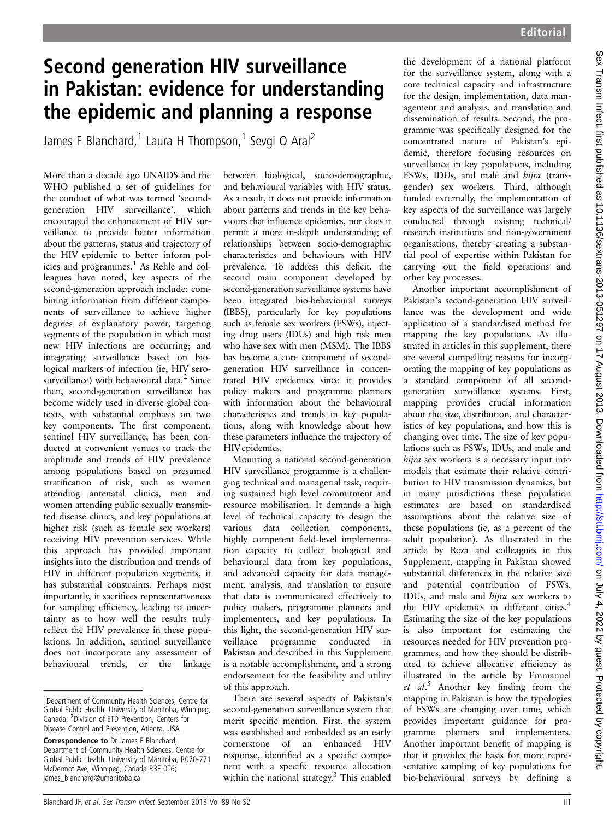## Second generation HIV surveillance in Pakistan: evidence for understanding the epidemic and planning a response

James F Blanchard,<sup>1</sup> Laura H Thompson,<sup>1</sup> Sevgi O Aral<sup>2</sup>

More than a decade ago UNAIDS and the WHO published a set of guidelines for the conduct of what was termed 'secondgeneration HIV surveillance', which encouraged the enhancement of HIV surveillance to provide better information about the patterns, status and trajectory of the HIV epidemic to better inform policies and programmes.<sup>1</sup> As Rehle and colleagues have noted, key aspects of the second-generation approach include: combining information from different components of surveillance to achieve higher degrees of explanatory power, targeting segments of the population in which most new HIV infections are occurring; and integrating surveillance based on biological markers of infection (ie, HIV serosurveillance) with behavioural data.<sup>2</sup> Since then, second-generation surveillance has become widely used in diverse global contexts, with substantial emphasis on two key components. The first component, sentinel HIV surveillance, has been conducted at convenient venues to track the amplitude and trends of HIV prevalence among populations based on presumed stratification of risk, such as women attending antenatal clinics, men and women attending public sexually transmitted disease clinics, and key populations at higher risk (such as female sex workers) receiving HIV prevention services. While this approach has provided important insights into the distribution and trends of HIV in different population segments, it has substantial constraints. Perhaps most importantly, it sacrifices representativeness for sampling efficiency, leading to uncertainty as to how well the results truly reflect the HIV prevalence in these populations. In addition, sentinel surveillance does not incorporate any assessment of behavioural trends, or the linkage

between biological, socio-demographic, and behavioural variables with HIV status. As a result, it does not provide information about patterns and trends in the key behaviours that influence epidemics, nor does it permit a more in-depth understanding of relationships between socio-demographic characteristics and behaviours with HIV prevalence. To address this deficit, the second main component developed by second-generation surveillance systems have been integrated bio-behavioural surveys (IBBS), particularly for key populations such as female sex workers (FSWs), injecting drug users (IDUs) and high risk men who have sex with men (MSM). The IBBS has become a core component of secondgeneration HIV surveillance in concentrated HIV epidemics since it provides policy makers and programme planners with information about the behavioural characteristics and trends in key populations, along with knowledge about how these parameters influence the trajectory of HIVepidemics.

Mounting a national second-generation HIV surveillance programme is a challenging technical and managerial task, requiring sustained high level commitment and resource mobilisation. It demands a high level of technical capacity to design the various data collection components, highly competent field-level implementation capacity to collect biological and behavioural data from key populations, and advanced capacity for data management, analysis, and translation to ensure that data is communicated effectively to policy makers, programme planners and implementers, and key populations. In this light, the second-generation HIV surveillance programme conducted in Pakistan and described in this Supplement is a notable accomplishment, and a strong endorsement for the feasibility and utility of this approach.

There are several aspects of Pakistan's second-generation surveillance system that merit specific mention. First, the system was established and embedded as an early cornerstone of an enhanced HIV response, identified as a specific component with a specific resource allocation within the national strategy.<sup>3</sup> This enabled

the development of a national platform for the surveillance system, along with a core technical capacity and infrastructure for the design, implementation, data management and analysis, and translation and dissemination of results. Second, the programme was specifically designed for the concentrated nature of Pakistan's epidemic, therefore focusing resources on surveillance in key populations, including FSWs, IDUs, and male and hijra (transgender) sex workers. Third, although funded externally, the implementation of key aspects of the surveillance was largely conducted through existing technical/ research institutions and non-government organisations, thereby creating a substantial pool of expertise within Pakistan for carrying out the field operations and other key processes.

Another important accomplishment of Pakistan's second-generation HIV surveillance was the development and wide application of a standardised method for mapping the key populations. As illustrated in articles in this supplement, there are several compelling reasons for incorporating the mapping of key populations as a standard component of all secondgeneration surveillance systems. First, mapping provides crucial information about the size, distribution, and characteristics of key populations, and how this is changing over time. The size of key populations such as FSWs, IDUs, and male and hijra sex workers is a necessary input into models that estimate their relative contribution to HIV transmission dynamics, but in many jurisdictions these population estimates are based on standardised assumptions about the relative size of these populations (ie, as a percent of the adult population). As illustrated in the article by Reza and colleagues in this Supplement, mapping in Pakistan showed substantial differences in the relative size and potential contribution of FSWs, IDUs, and male and hijra sex workers to the HIV epidemics in different cities.<sup>4</sup> Estimating the size of the key populations is also important for estimating the resources needed for HIV prevention programmes, and how they should be distributed to achieve allocative efficiency as illustrated in the article by Emmanuel et al.<sup>5</sup> Another key finding from the mapping in Pakistan is how the typologies of FSWs are changing over time, which provides important guidance for programme planners and implementers. Another important benefit of mapping is that it provides the basis for more representative sampling of key populations for bio-behavioural surveys by defining a

<sup>&</sup>lt;sup>1</sup>Department of Community Health Sciences, Centre for Global Public Health, University of Manitoba, Winnipeg, Canada; <sup>2</sup> Division of STD Prevention, Centers for Disease Control and Prevention, Atlanta, USA

Correspondence to Dr James F Blanchard, Department of Community Health Sciences, Centre for Global Public Health, University of Manitoba, R070-771 McDermot Ave, Winnipeg, Canada R3E 0T6; james\_blanchard@umanitoba.ca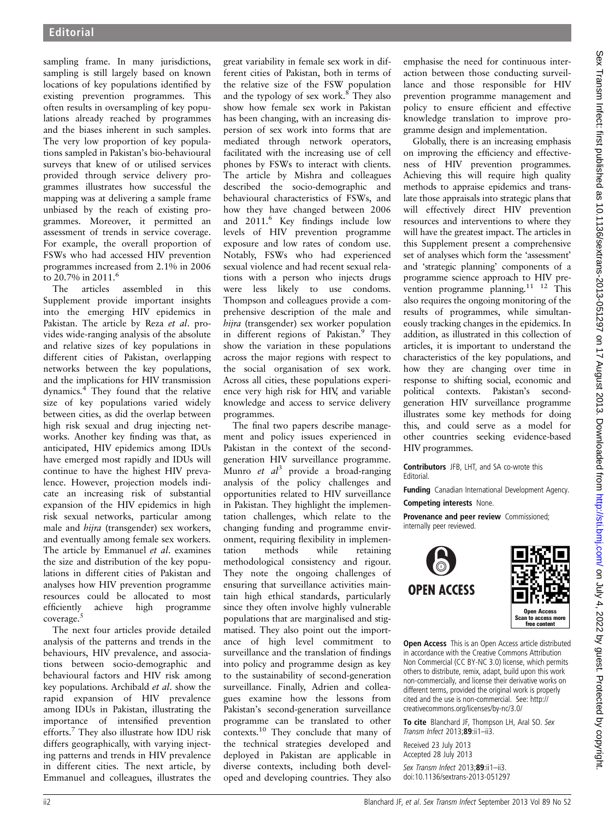sampling frame. In many jurisdictions, sampling is still largely based on known locations of key populations identified by existing prevention programmes. This often results in oversampling of key populations already reached by programmes and the biases inherent in such samples. The very low proportion of key populations sampled in Pakistan's bio-behavioural surveys that knew of or utilised services provided through service delivery programmes illustrates how successful the mapping was at delivering a sample frame unbiased by the reach of existing programmes. Moreover, it permitted an assessment of trends in service coverage. For example, the overall proportion of FSWs who had accessed HIV prevention programmes increased from 2.1% in 2006 to 20.7% in 2011.6

The articles assembled in this Supplement provide important insights into the emerging HIV epidemics in Pakistan. The article by Reza et al. provides wide-ranging analysis of the absolute and relative sizes of key populations in different cities of Pakistan, overlapping networks between the key populations, and the implications for HIV transmission dynamics.<sup>4</sup> They found that the relative size of key populations varied widely between cities, as did the overlap between high risk sexual and drug injecting networks. Another key finding was that, as anticipated, HIV epidemics among IDUs have emerged most rapidly and IDUs will continue to have the highest HIV prevalence. However, projection models indicate an increasing risk of substantial expansion of the HIV epidemics in high risk sexual networks, particular among male and hijra (transgender) sex workers, and eventually among female sex workers. The article by Emmanuel et al. examines the size and distribution of the key populations in different cities of Pakistan and analyses how HIV prevention programme resources could be allocated to most efficiently achieve high programme coverage.<sup>5</sup>

The next four articles provide detailed analysis of the patterns and trends in the behaviours, HIV prevalence, and associations between socio-demographic and behavioural factors and HIV risk among key populations. Archibald et al. show the rapid expansion of HIV prevalence among IDUs in Pakistan, illustrating the importance of intensified prevention efforts.<sup>7</sup> They also illustrate how IDU risk differs geographically, with varying injecting patterns and trends in HIV prevalence in different cities. The next article, by Emmanuel and colleagues, illustrates the

great variability in female sex work in different cities of Pakistan, both in terms of the relative size of the FSW population and the typology of sex work. $8$  They also show how female sex work in Pakistan has been changing, with an increasing dispersion of sex work into forms that are mediated through network operators, facilitated with the increasing use of cell phones by FSWs to interact with clients. The article by Mishra and colleagues described the socio-demographic and behavioural characteristics of FSWs, and how they have changed between 2006 and 2011.6 Key findings include low levels of HIV prevention programme exposure and low rates of condom use. Notably, FSWs who had experienced sexual violence and had recent sexual relations with a person who injects drugs were less likely to use condoms. Thompson and colleagues provide a comprehensive description of the male and hijra (transgender) sex worker population in different regions of Pakistan.<sup>9</sup> They show the variation in these populations across the major regions with respect to the social organisation of sex work. Across all cities, these populations experience very high risk for HIV, and variable knowledge and access to service delivery programmes.

The final two papers describe management and policy issues experienced in Pakistan in the context of the secondgeneration HIV surveillance programme. Munro et  $al^3$  provide a broad-ranging analysis of the policy challenges and opportunities related to HIV surveillance in Pakistan. They highlight the implementation challenges, which relate to the changing funding and programme environment, requiring flexibility in implementation methods while retaining methodological consistency and rigour. They note the ongoing challenges of ensuring that surveillance activities maintain high ethical standards, particularly since they often involve highly vulnerable populations that are marginalised and stigmatised. They also point out the importance of high level commitment to surveillance and the translation of findings into policy and programme design as key to the sustainability of second-generation surveillance. Finally, Adrien and colleagues examine how the lessons from Pakistan's second-generation surveillance programme can be translated to other contexts.<sup>10</sup> They conclude that many of the technical strategies developed and deployed in Pakistan are applicable in diverse contexts, including both developed and developing countries. They also

emphasise the need for continuous interaction between those conducting surveillance and those responsible for HIV prevention programme management and policy to ensure efficient and effective knowledge translation to improve programme design and implementation.

Globally, there is an increasing emphasis on improving the efficiency and effectiveness of HIV prevention programmes. Achieving this will require high quality methods to appraise epidemics and translate those appraisals into strategic plans that will effectively direct HIV prevention resources and interventions to where they will have the greatest impact. The articles in this Supplement present a comprehensive set of analyses which form the 'assessment' and 'strategic planning' components of a programme science approach to HIV prevention programme planning.<sup>11</sup> <sup>12</sup> This also requires the ongoing monitoring of the results of programmes, while simultaneously tracking changes in the epidemics. In addition, as illustrated in this collection of articles, it is important to understand the characteristics of the key populations, and how they are changing over time in response to shifting social, economic and political contexts. Pakistan's secondgeneration HIV surveillance programme illustrates some key methods for doing this, and could serve as a model for other countries seeking evidence-based HIV programmes.

Contributors JFB, LHT, and SA co-wrote this **Editorial** 

Funding Canadian International Development Agency.

Competing interests None.

Provenance and peer review Commissioned; internally peer reviewed.



**Open Access** This is an Open Access article distributed in accordance with the Creative Commons Attribution Non Commercial (CC BY-NC 3.0) license, which permits others to distribute, remix, adapt, build upon this work non-commercially, and license their derivative works on different terms, provided the original work is properly cited and the use is non-commercial. See: http:// creativecommons.org/licenses/by-nc/3.0/

To cite Blanchard JF, Thompson LH, Aral SO. Sex Transm Infect 2013;89:ii1-ii3.

Received 23 July 2013 Accepted 28 July 2013

Sex Transm Infect 2013;89:ii1-ii3. doi:10.1136/sextrans-2013-051297